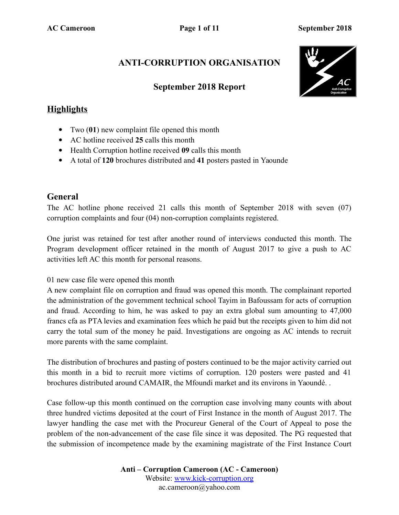### **ANTI-CORRUPTION ORGANISATION**

#### **September 2018 Report**



#### **Highlights**

- Two (**01**) new complaint file opened this month
- AC hotline received **25** calls this month
- Health Corruption hotline received **09** calls this month
- A total of **120** brochures distributed and **41** posters pasted in Yaounde

#### **General**

The AC hotline phone received 21 calls this month of September 2018 with seven (07) corruption complaints and four (04) non-corruption complaints registered.

One jurist was retained for test after another round of interviews conducted this month. The Program development officer retained in the month of August 2017 to give a push to AC activities left AC this month for personal reasons.

01 new case file were opened this month

A new complaint file on corruption and fraud was opened this month. The complainant reported the administration of the government technical school Tayim in Bafoussam for acts of corruption and fraud. According to him, he was asked to pay an extra global sum amounting to 47,000 francs cfa as PTA levies and examination fees which he paid but the receipts given to him did not carry the total sum of the money he paid. Investigations are ongoing as AC intends to recruit more parents with the same complaint.

The distribution of brochures and pasting of posters continued to be the major activity carried out this month in a bid to recruit more victims of corruption. 120 posters were pasted and 41 brochures distributed around CAMAIR, the Mfoundi market and its environs in Yaoundé. .

Case follow-up this month continued on the corruption case involving many counts with about three hundred victims deposited at the court of First Instance in the month of August 2017. The lawyer handling the case met with the Procureur General of the Court of Appeal to pose the problem of the non-advancement of the case file since it was deposited. The PG requested that the submission of incompetence made by the examining magistrate of the First Instance Court

> **Anti – Corruption Cameroon (AC - Cameroon)** Website: [www.kick-corruption.org](http://www.kick-corruption.org/) ac.cameroon@yahoo.com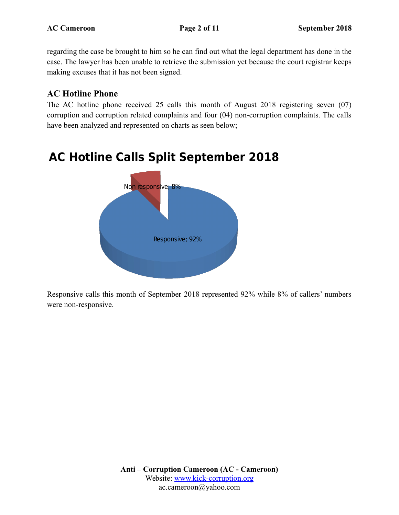regarding the case be brought to him so he can find out what the legal department has done in the case. The lawyer has been unable to retrieve the submission yet because the court registrar keeps making excuses that it has not been signed.

#### **AC Hotline Phone**

The AC hotline phone received 25 calls this month of August 2018 registering seven (07) corruption and corruption related complaints and four (04) non-corruption complaints. The calls have been analyzed and represented on charts as seen below;

# **AC Hotline Calls Split September 2018**



Responsive calls this month of September 2018 represented 92% while 8% of callers' numbers were non-responsive.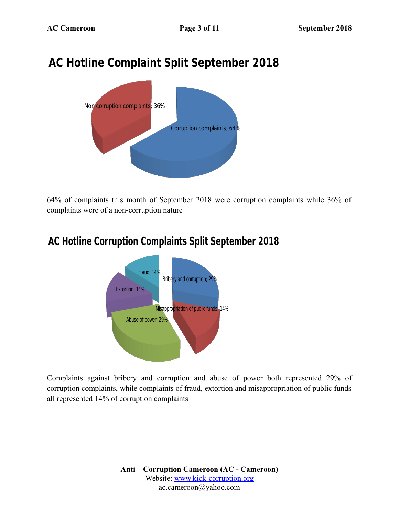# **AC Hotline Complaint Split September 2018**



64% of complaints this month of September 2018 were corruption complaints while 36% of complaints were of a non-corruption nature

## **AC Hotline Corruption Complaints Split September 2018**



Complaints against bribery and corruption and abuse of power both represented 29% of corruption complaints, while complaints of fraud, extortion and misappropriation of public funds all represented 14% of corruption complaints

> **Anti – Corruption Cameroon (AC - Cameroon)** Website: [www.kick-corruption.org](http://www.kick-corruption.org/) ac.cameroon@yahoo.com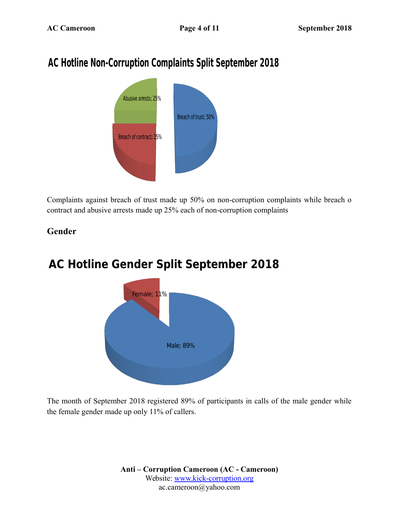# **AC Hotline Non-Corruption Complaints Split September 2018**



Complaints against breach of trust made up 50% on non-corruption complaints while breach o contract and abusive arrests made up 25% each of non-corruption complaints

#### **Gender**



# **AC Hotline Gender Split September 2018**

The month of September 2018 registered 89% of participants in calls of the male gender while the female gender made up only 11% of callers.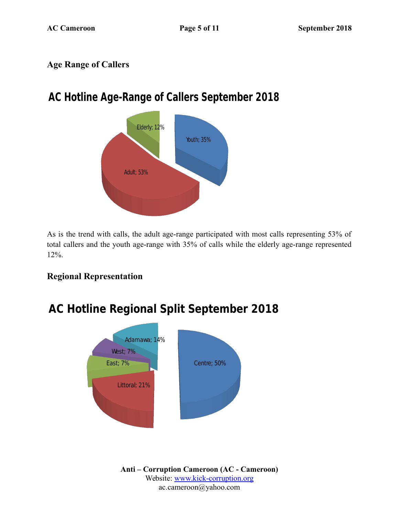### **Age Range of Callers**

# **AC Hotline Age-Range of Callers September 2018**



As is the trend with calls, the adult age-range participated with most calls representing 53% of total callers and the youth age-range with 35% of calls while the elderly age-range represented 12%.

### **Regional Representation**



# **AC Hotline Regional Split September 2018**

**Anti – Corruption Cameroon (AC - Cameroon)** Website: [www.kick-corruption.org](http://www.kick-corruption.org/) ac.cameroon@yahoo.com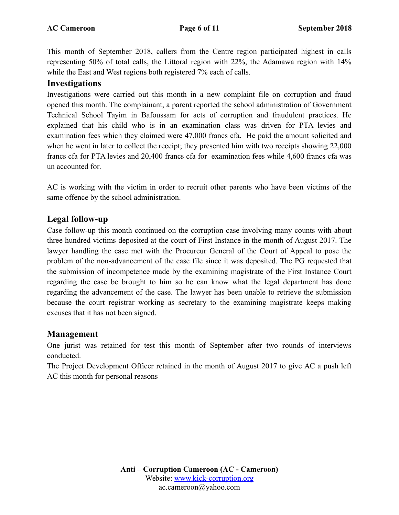This month of September 2018, callers from the Centre region participated highest in calls representing 50% of total calls, the Littoral region with 22%, the Adamawa region with 14% while the East and West regions both registered 7% each of calls.

#### **Investigations**

Investigations were carried out this month in a new complaint file on corruption and fraud opened this month. The complainant, a parent reported the school administration of Government Technical School Tayim in Bafoussam for acts of corruption and fraudulent practices. He explained that his child who is in an examination class was driven for PTA levies and examination fees which they claimed were 47,000 francs cfa. He paid the amount solicited and when he went in later to collect the receipt; they presented him with two receipts showing 22,000 francs cfa for PTA levies and 20,400 francs cfa for examination fees while 4,600 francs cfa was un accounted for.

AC is working with the victim in order to recruit other parents who have been victims of the same offence by the school administration.

#### **Legal follow-up**

Case follow-up this month continued on the corruption case involving many counts with about three hundred victims deposited at the court of First Instance in the month of August 2017. The lawyer handling the case met with the Procureur General of the Court of Appeal to pose the problem of the non-advancement of the case file since it was deposited. The PG requested that the submission of incompetence made by the examining magistrate of the First Instance Court regarding the case be brought to him so he can know what the legal department has done regarding the advancement of the case. The lawyer has been unable to retrieve the submission because the court registrar working as secretary to the examining magistrate keeps making excuses that it has not been signed.

#### **Management**

One jurist was retained for test this month of September after two rounds of interviews conducted.

The Project Development Officer retained in the month of August 2017 to give AC a push left AC this month for personal reasons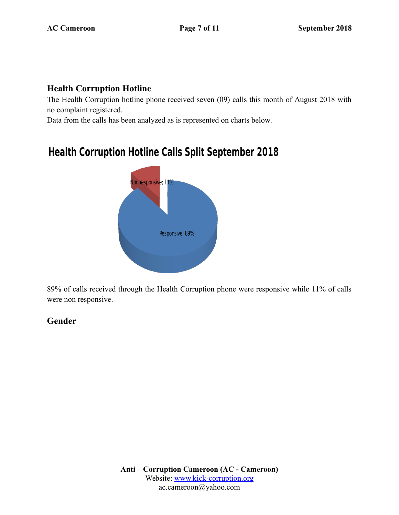#### **Health Corruption Hotline**

The Health Corruption hotline phone received seven (09) calls this month of August 2018 with no complaint registered.

Data from the calls has been analyzed as is represented on charts below.

## **Health Corruption Hotline Calls Split September 2018**



89% of calls received through the Health Corruption phone were responsive while 11% of calls were non responsive.

### **Gender**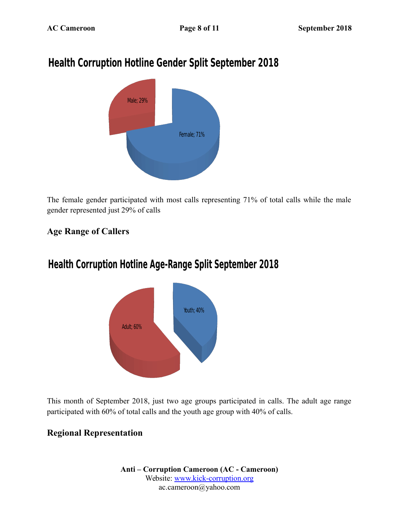# **Health Corruption Hotline Gender Split September 2018**



The female gender participated with most calls representing 71% of total calls while the male gender represented just 29% of calls

### **Age Range of Callers**

## **Health Corruption Hotline Age-Range Split September 2018**



This month of September 2018, just two age groups participated in calls. The adult age range participated with 60% of total calls and the youth age group with 40% of calls.

### **Regional Representation**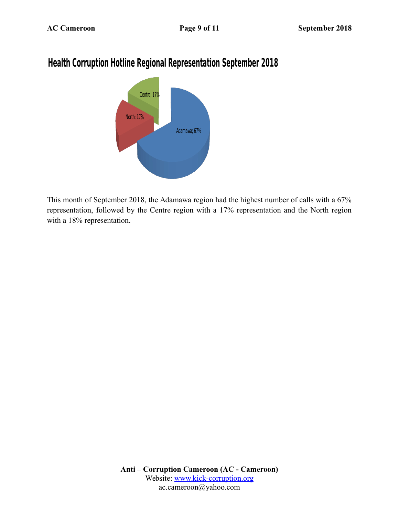### **Health Corruption Hotline Regional Representation September 2018**



This month of September 2018, the Adamawa region had the highest number of calls with a 67% representation, followed by the Centre region with a 17% representation and the North region with a 18% representation.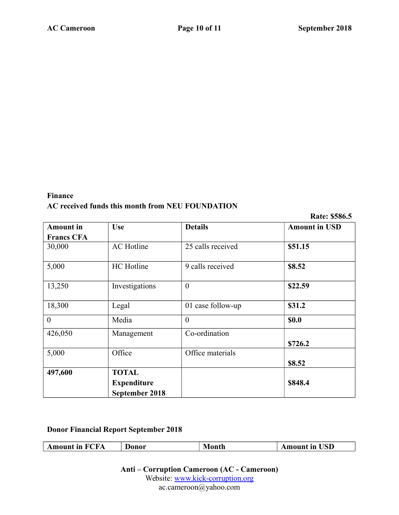#### **Finance AC received funds this month from NEU FOUNDATION**

**Rate: \$586.5**

| <b>Amount</b> in  | <b>Use</b>         | <b>Details</b>    | <b>Amount in USD</b> |
|-------------------|--------------------|-------------------|----------------------|
| <b>Francs CFA</b> |                    |                   |                      |
| 30,000            | <b>AC</b> Hotline  | 25 calls received | \$51.15              |
| 5,000             | <b>HC</b> Hotline  | 9 calls received  | \$8.52               |
| 13,250            | Investigations     | $\overline{0}$    | \$22.59              |
| 18,300            | Legal              | 01 case follow-up | \$31.2               |
| $\overline{0}$    | Media              | $\theta$          | <b>\$0.0</b>         |
| 426,050           | Management         | Co-ordination     |                      |
|                   |                    |                   | \$726.2              |
| 5,000             | Office             | Office materials  |                      |
|                   |                    |                   | \$8.52               |
| 497,600           | <b>TOTAL</b>       |                   |                      |
|                   | <b>Expenditure</b> |                   | \$848.4              |
|                   | September 2018     |                   |                      |

#### **Donor Financial Report September 2018**

 $\sqrt{2}$ 

| <b>Amount in FCFA</b> | Donor | Month | <b>Amount in USD</b> |
|-----------------------|-------|-------|----------------------|
|-----------------------|-------|-------|----------------------|